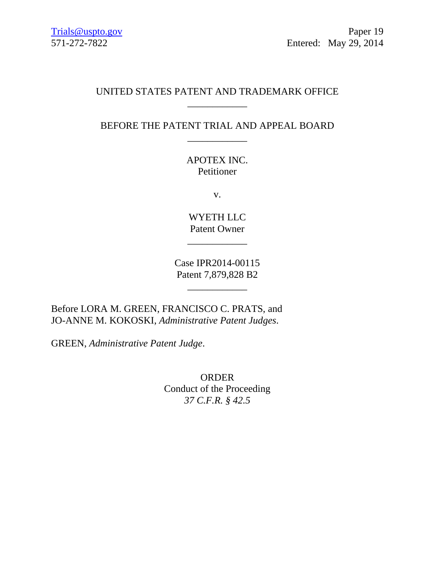## UNITED STATES PATENT AND TRADEMARK OFFICE \_\_\_\_\_\_\_\_\_\_\_\_

BEFORE THE PATENT TRIAL AND APPEAL BOARD \_\_\_\_\_\_\_\_\_\_\_\_

> APOTEX INC. Petitioner

> > v.

WYETH LLC Patent Owner

 $\overline{\phantom{a}}$ 

Case IPR2014-00115 Patent 7,879,828 B2

\_\_\_\_\_\_\_\_\_\_\_\_

Before LORA M. GREEN, FRANCISCO C. PRATS, and JO-ANNE M. KOKOSKI, *Administrative Patent Judges*.

GREEN, *Administrative Patent Judge*.

ORDER Conduct of the Proceeding *37 C.F.R. § 42.5*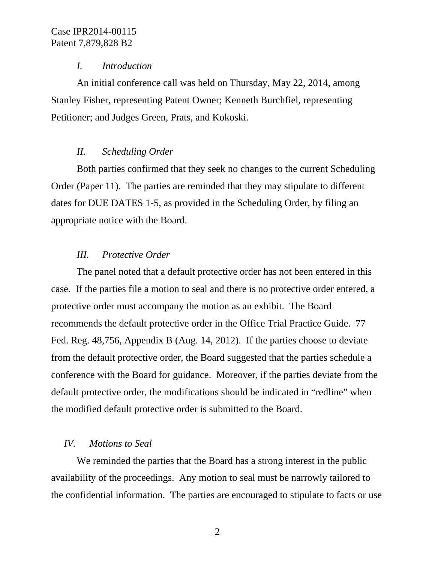### *I. Introduction*

An initial conference call was held on Thursday, May 22, 2014, among Stanley Fisher, representing Patent Owner; Kenneth Burchfiel, representing Petitioner; and Judges Green, Prats, and Kokoski.

## *II. Scheduling Order*

Both parties confirmed that they seek no changes to the current Scheduling Order (Paper 11). The parties are reminded that they may stipulate to different dates for DUE DATES 1-5, as provided in the Scheduling Order, by filing an appropriate notice with the Board.

## *III. Protective Order*

The panel noted that a default protective order has not been entered in this case. If the parties file a motion to seal and there is no protective order entered, a protective order must accompany the motion as an exhibit. The Board recommends the default protective order in the Office Trial Practice Guide. 77 Fed. Reg. 48,756, Appendix B (Aug. 14, 2012). If the parties choose to deviate from the default protective order, the Board suggested that the parties schedule a conference with the Board for guidance. Moreover, if the parties deviate from the default protective order, the modifications should be indicated in "redline" when the modified default protective order is submitted to the Board.

### *IV. Motions to Seal*

We reminded the parties that the Board has a strong interest in the public availability of the proceedings. Any motion to seal must be narrowly tailored to the confidential information. The parties are encouraged to stipulate to facts or use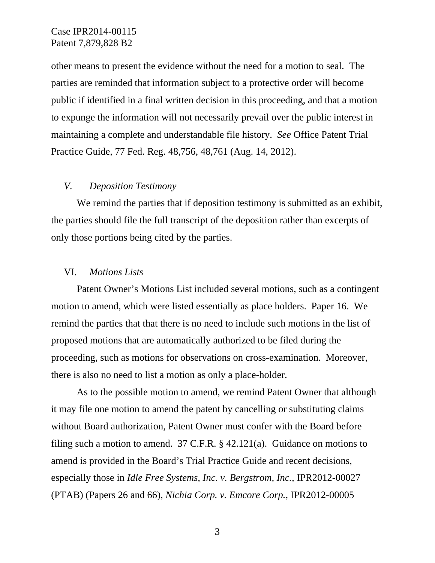other means to present the evidence without the need for a motion to seal. The parties are reminded that information subject to a protective order will become public if identified in a final written decision in this proceeding, and that a motion to expunge the information will not necessarily prevail over the public interest in maintaining a complete and understandable file history. *See* Office Patent Trial Practice Guide, 77 Fed. Reg. 48,756, 48,761 (Aug. 14, 2012).

#### *V. Deposition Testimony*

We remind the parties that if deposition testimony is submitted as an exhibit, the parties should file the full transcript of the deposition rather than excerpts of only those portions being cited by the parties.

#### VI. *Motions Lists*

Patent Owner's Motions List included several motions, such as a contingent motion to amend, which were listed essentially as place holders. Paper 16. We remind the parties that that there is no need to include such motions in the list of proposed motions that are automatically authorized to be filed during the proceeding, such as motions for observations on cross-examination. Moreover, there is also no need to list a motion as only a place-holder.

As to the possible motion to amend, we remind Patent Owner that although it may file one motion to amend the patent by cancelling or substituting claims without Board authorization, Patent Owner must confer with the Board before filing such a motion to amend. 37 C.F.R. § 42.121(a). Guidance on motions to amend is provided in the Board's Trial Practice Guide and recent decisions, especially those in *Idle Free Systems, Inc. v. Bergstrom, Inc.,* IPR2012-00027 (PTAB) (Papers 26 and 66), *Nichia Corp. v. Emcore Corp.*, IPR2012-00005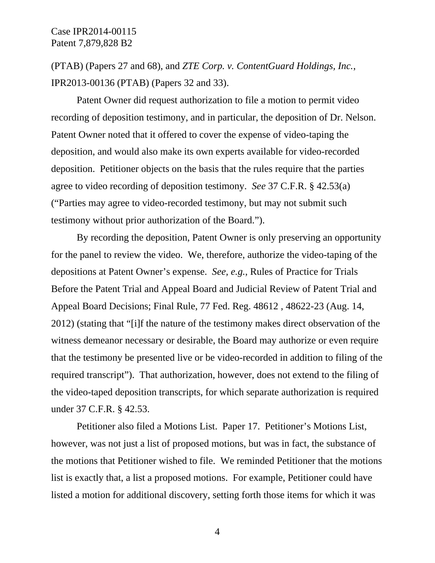(PTAB) (Papers 27 and 68), and *ZTE Corp. v. ContentGuard Holdings, Inc.*, IPR2013-00136 (PTAB) (Papers 32 and 33).

Patent Owner did request authorization to file a motion to permit video recording of deposition testimony, and in particular, the deposition of Dr. Nelson. Patent Owner noted that it offered to cover the expense of video-taping the deposition, and would also make its own experts available for video-recorded deposition. Petitioner objects on the basis that the rules require that the parties agree to video recording of deposition testimony. *See* 37 C.F.R. § 42.53(a) ("Parties may agree to video-recorded testimony, but may not submit such testimony without prior authorization of the Board.").

By recording the deposition, Patent Owner is only preserving an opportunity for the panel to review the video. We, therefore, authorize the video-taping of the depositions at Patent Owner's expense. *See, e.g.*, Rules of Practice for Trials Before the Patent Trial and Appeal Board and Judicial Review of Patent Trial and Appeal Board Decisions; Final Rule, 77 Fed. Reg. 48612 , 48622-23 (Aug. 14, 2012) (stating that "[i]f the nature of the testimony makes direct observation of the witness demeanor necessary or desirable, the Board may authorize or even require that the testimony be presented live or be video-recorded in addition to filing of the required transcript"). That authorization, however, does not extend to the filing of the video-taped deposition transcripts, for which separate authorization is required under 37 C.F.R. § 42.53.

Petitioner also filed a Motions List. Paper 17. Petitioner's Motions List, however, was not just a list of proposed motions, but was in fact, the substance of the motions that Petitioner wished to file. We reminded Petitioner that the motions list is exactly that, a list a proposed motions. For example, Petitioner could have listed a motion for additional discovery, setting forth those items for which it was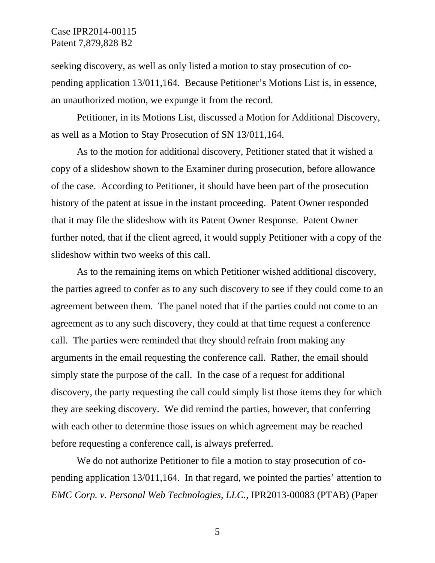seeking discovery, as well as only listed a motion to stay prosecution of copending application 13/011,164. Because Petitioner's Motions List is, in essence, an unauthorized motion, we expunge it from the record.

Petitioner, in its Motions List, discussed a Motion for Additional Discovery, as well as a Motion to Stay Prosecution of SN 13/011,164.

As to the motion for additional discovery, Petitioner stated that it wished a copy of a slideshow shown to the Examiner during prosecution, before allowance of the case. According to Petitioner, it should have been part of the prosecution history of the patent at issue in the instant proceeding. Patent Owner responded that it may file the slideshow with its Patent Owner Response. Patent Owner further noted, that if the client agreed, it would supply Petitioner with a copy of the slideshow within two weeks of this call.

As to the remaining items on which Petitioner wished additional discovery, the parties agreed to confer as to any such discovery to see if they could come to an agreement between them. The panel noted that if the parties could not come to an agreement as to any such discovery, they could at that time request a conference call. The parties were reminded that they should refrain from making any arguments in the email requesting the conference call. Rather, the email should simply state the purpose of the call. In the case of a request for additional discovery, the party requesting the call could simply list those items they for which they are seeking discovery. We did remind the parties, however, that conferring with each other to determine those issues on which agreement may be reached before requesting a conference call, is always preferred.

We do not authorize Petitioner to file a motion to stay prosecution of copending application 13/011,164. In that regard, we pointed the parties' attention to *EMC Corp. v. Personal Web Technologies, LLC.*, IPR2013-00083 (PTAB) (Paper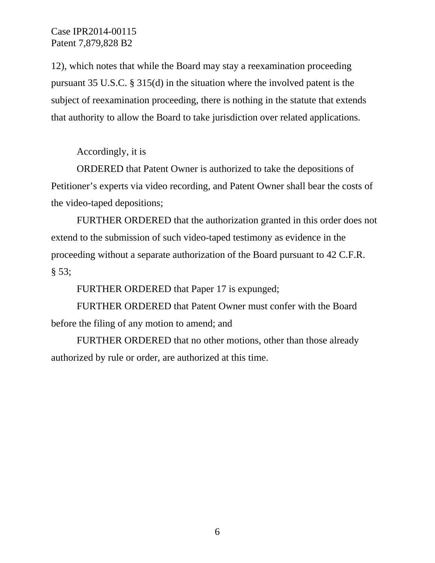12), which notes that while the Board may stay a reexamination proceeding pursuant 35 U.S.C. § 315(d) in the situation where the involved patent is the subject of reexamination proceeding, there is nothing in the statute that extends that authority to allow the Board to take jurisdiction over related applications.

Accordingly, it is

ORDERED that Patent Owner is authorized to take the depositions of Petitioner's experts via video recording, and Patent Owner shall bear the costs of the video-taped depositions;

FURTHER ORDERED that the authorization granted in this order does not extend to the submission of such video-taped testimony as evidence in the proceeding without a separate authorization of the Board pursuant to 42 C.F.R.  $§ 53;$ 

FURTHER ORDERED that Paper 17 is expunged;

FURTHER ORDERED that Patent Owner must confer with the Board before the filing of any motion to amend; and

FURTHER ORDERED that no other motions, other than those already authorized by rule or order, are authorized at this time.